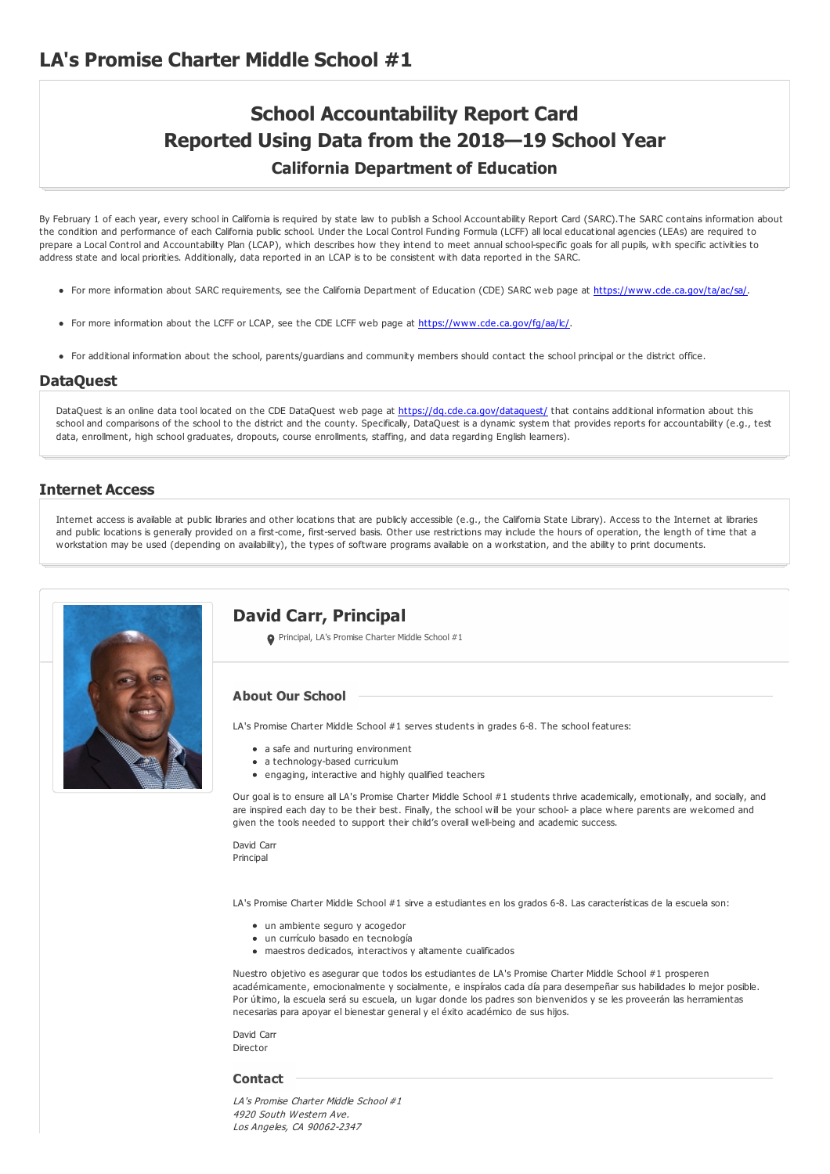# **School Accountability Report Card Reported Using Data from the 2018—19 School Year California Department of Education**

By February 1 of each year, every school in California is required by state law to publish a School Accountability Report Card (SARC).The SARC contains information about the condition and performance of each California public school. Under the Local Control Funding Formula (LCFF) all local educational agencies (LEAs) are required to prepare a Local Control and Accountability Plan (LCAP), which describes how they intend to meet annual school-specific goals for all pupils, with specific activities to address state and local priorities. Additionally, data reported in an LCAP is to be consistent with data reported in the SARC.

- For more information about SARC requirements, see the California Department of Education (CDE) SARC web page at <https://www.cde.ca.gov/ta/ac/sa/>.
- For more information about the LCFF or LCAP, see the CDE LCFF web page at <https://www.cde.ca.gov/fg/aa/lc/>.
- For additional information about the school, parents/guardians and community members should contact the school principal or the district office.

#### **DataQuest**

DataQuest is an online data tool located on the CDE DataQuest web page at <https://dq.cde.ca.gov/dataquest/> that contains additional information about this school and comparisons of the school to the district and the county. Specifically, DataQuest is a dynamic system that provides reports for accountability (e.g., test data, enrollment, high school graduates, dropouts, course enrollments, staffing, and data regarding English learners).

#### **Internet Access**

Internet access is available at public libraries and other locations that are publicly accessible (e.g., the California State Library). Access to the Internet at libraries and public locations is generally provided on a first-come, first-served basis. Other use restrictions may include the hours of operation, the length of time that a workstation may be used (depending on availability), the types of software programs available on a workstation, and the ability to print documents.



# **David Carr, Principal**

**O** Principal, LA's Promise Charter Middle School #1

#### **About Our School**

LA's Promise Charter Middle School #1 serves students in grades 6-8. The school features:

- a safe and nurturing environment
- a technology-based curriculum
- engaging, interactive and highly qualified teachers

Our goal is to ensure all LA's Promise Charter Middle School #1 students thrive academically, emotionally, and socially, and are inspired each day to be their best. Finally, the school will be your school- a place where parents are welcomed and given the tools needed to support their child's overall well-being and academic success.

David Carr Principal

LA's Promise Charter Middle School #1 sirve a estudiantes en los grados 6-8. Las características de la escuela son:

- un ambiente seguro y acogedor
- un currículo basado en tecnología
- maestros dedicados, interactivos y altamente cualificados

Nuestro objetivo es asegurar que todos los estudiantes de LA's Promise Charter Middle School #1 prosperen académicamente, emocionalmente y socialmente, e inspíralos cada día para desempeñar sus habilidades lo mejor posible. Por último, la escuela será su escuela, un lugar donde los padres son bienvenidos y se les proveerán las herramientas necesarias para apoyar el bienestar general y el éxito académico de sus hijos.

David Carr Director

#### **Contact**

LA's Promise Charter Middle School #1 4920 South Western Ave. Los Angeles, CA 90062-2347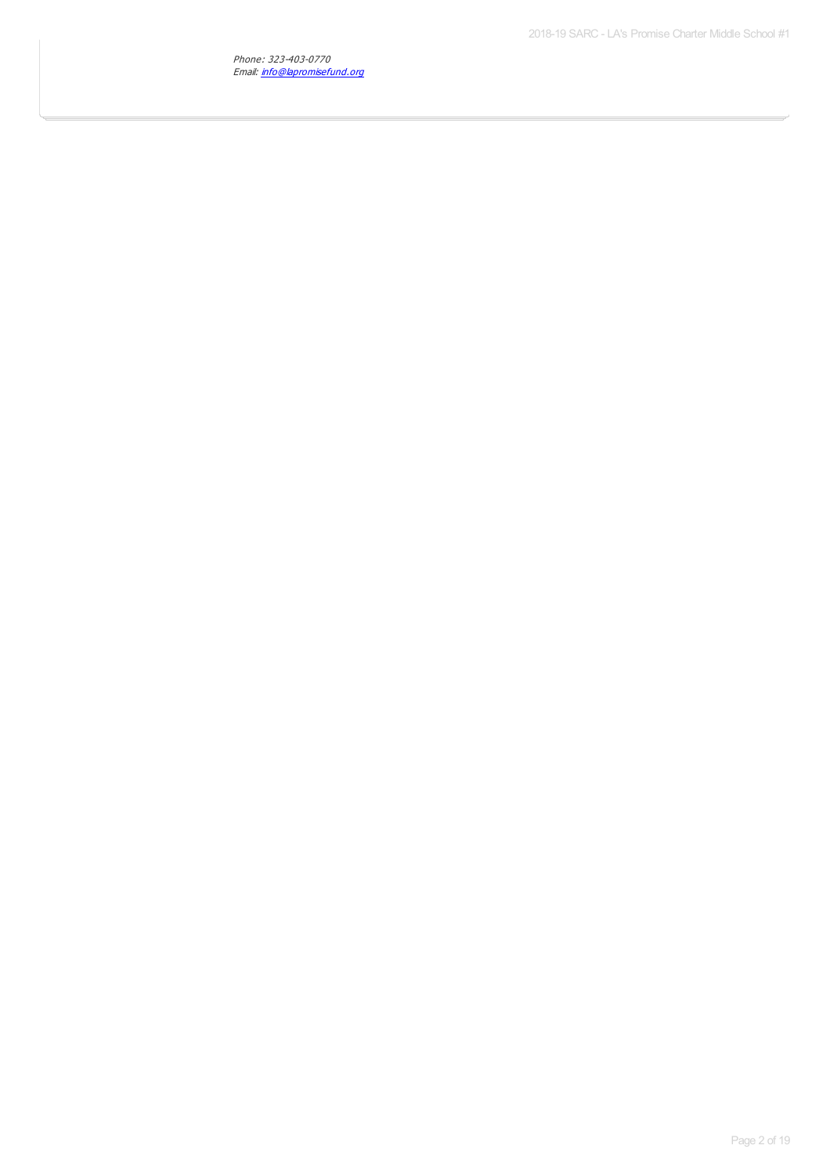Phone: 323-403-0770 Email: *[info@lapromisefund.org](mailto:info@lapromisefund.org)*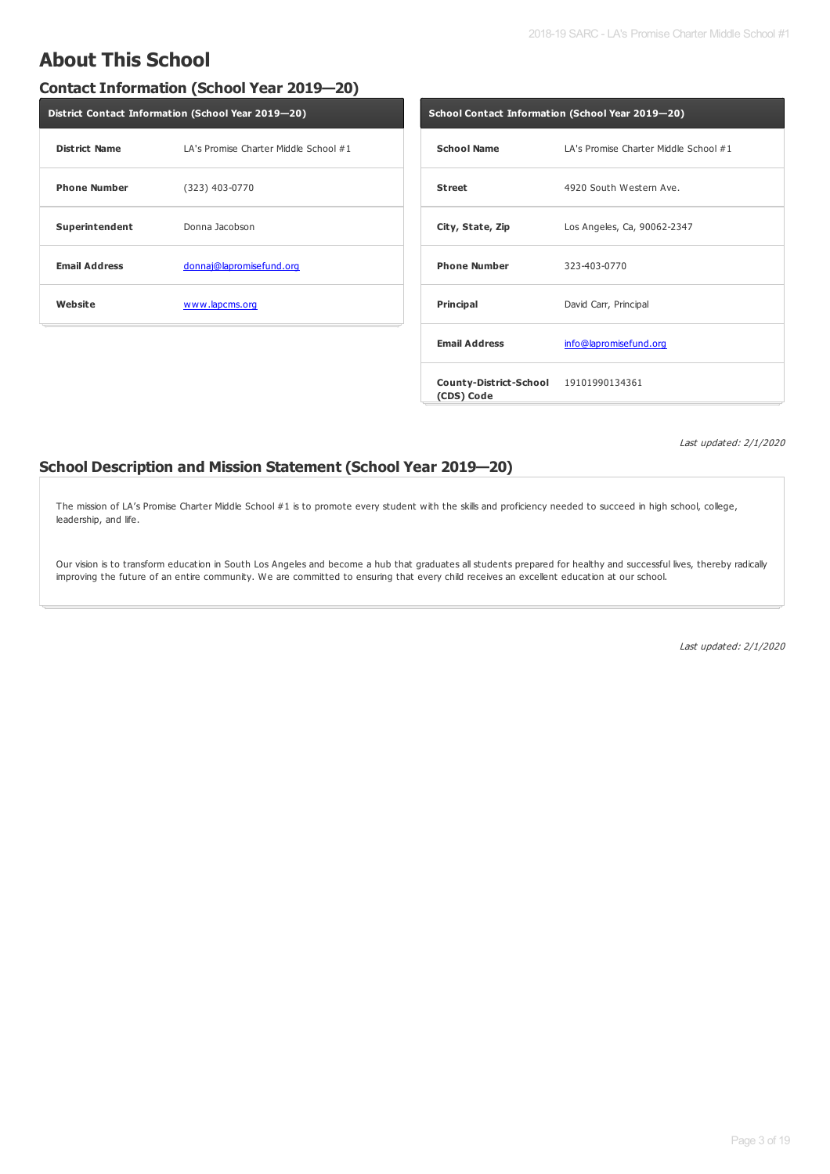# **About This School**

# **Contact Information (School Year 2019—20)**

| District Contact Information (School Year 2019-20) |                                       |  |  |  |
|----------------------------------------------------|---------------------------------------|--|--|--|
| <b>District Name</b>                               | LA's Promise Charter Middle School #1 |  |  |  |
| <b>Phone Number</b>                                | (323) 403-0770                        |  |  |  |
| Superintendent                                     | Donna Jacobson                        |  |  |  |
| <b>Email Address</b>                               | donnaj@lapromisefund.org              |  |  |  |
| Website                                            | www.lapcms.org                        |  |  |  |

| School Contact Information (School Year 2019-20)    |                                       |  |  |  |
|-----------------------------------------------------|---------------------------------------|--|--|--|
| <b>School Name</b>                                  | LA's Promise Charter Middle School #1 |  |  |  |
| <b>Street</b>                                       | 4920 South Western Ave.               |  |  |  |
| City, State, Zip                                    | Los Angeles, Ca, 90062-2347           |  |  |  |
| <b>Phone Number</b>                                 | 323-403-0770                          |  |  |  |
| Principal                                           | David Carr, Principal                 |  |  |  |
| <b>Email Address</b>                                | info@lapromisefund.org                |  |  |  |
| County-District-School 19101990134361<br>(CDS) Code |                                       |  |  |  |

Last updated: 2/1/2020

### **School Description and Mission Statement (School Year 2019—20)**

The mission of LA's Promise Charter Middle School #1 is to promote every student with the skills and proficiency needed to succeed in high school, college, leadership, and life.

Our vision is to transform education in South Los Angeles and become a hub that graduates all students prepared for healthy and successful lives, thereby radically improving the future of an entire community. We are committed to ensuring that every child receives an excellent education at our school.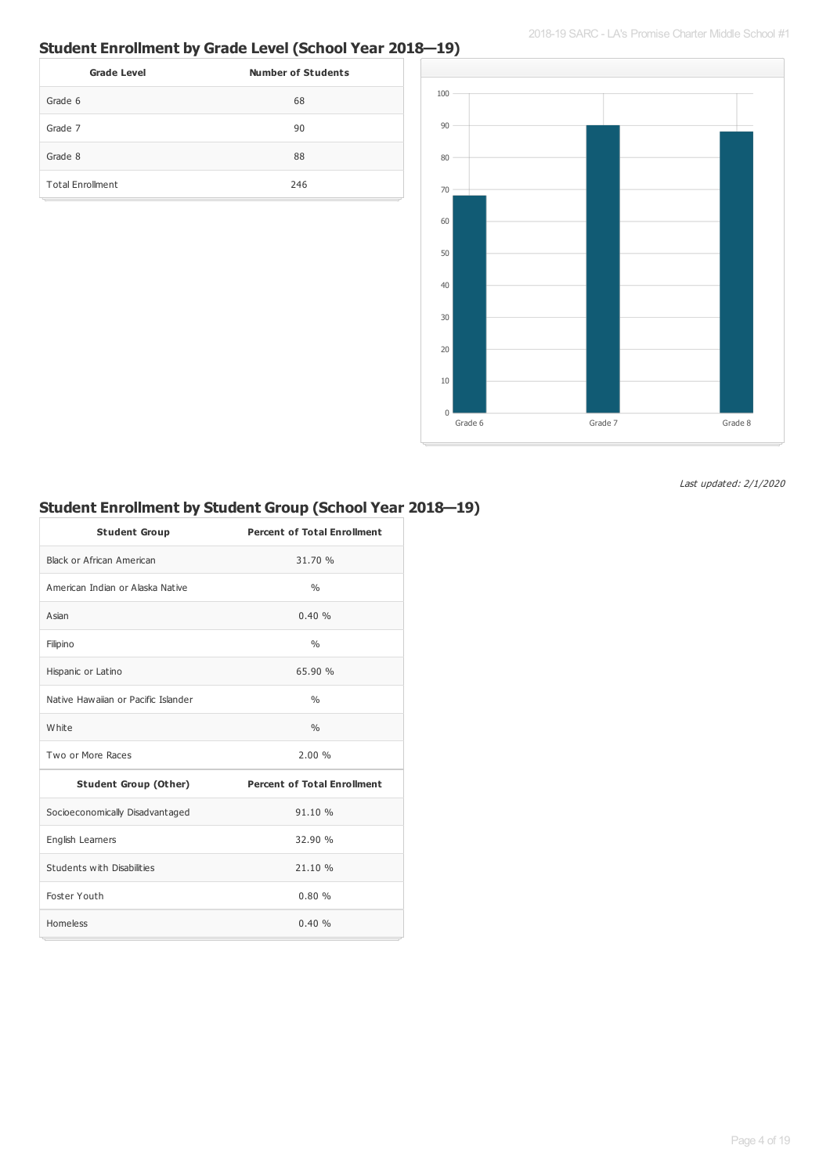#### 2018-19 SARC - LA's Promise Charter Middle School #1

# **Student Enrollment by Grade Level (School Year 2018—19)**

| <b>Grade Level</b>      | <b>Number of Students</b> |
|-------------------------|---------------------------|
| Grade 6                 | 68                        |
| Grade 7                 | 90                        |
| Grade 8                 | 88                        |
| <b>Total Enrollment</b> | 246                       |



Last updated: 2/1/2020

## **Student Enrollment by Student Group (School Year 2018—19)**

| <b>Student Group</b>                | <b>Percent of Total Enrollment</b> |
|-------------------------------------|------------------------------------|
| Black or African American           | 31.70 %                            |
| American Indian or Alaska Native    | $\frac{0}{0}$                      |
| <b>A</b> sian                       | 0.40%                              |
| Filipino                            | $\frac{0}{0}$                      |
| Hispanic or Latino                  | 65.90 %                            |
| Native Hawaiian or Pacific Islander | $\frac{0}{0}$                      |
| White                               | $\frac{0}{0}$                      |
| Two or More Races                   | 2.00%                              |
| <b>Student Group (Other)</b>        | <b>Percent of Total Enrollment</b> |
| Socioeconomically Disadvantaged     | 91.10 %                            |
| English Learners                    | 32.90%                             |
| Students with Disabilities          | 21.10%                             |
| Foster Youth                        | 0.80%                              |
| Homeless                            | 0.40%                              |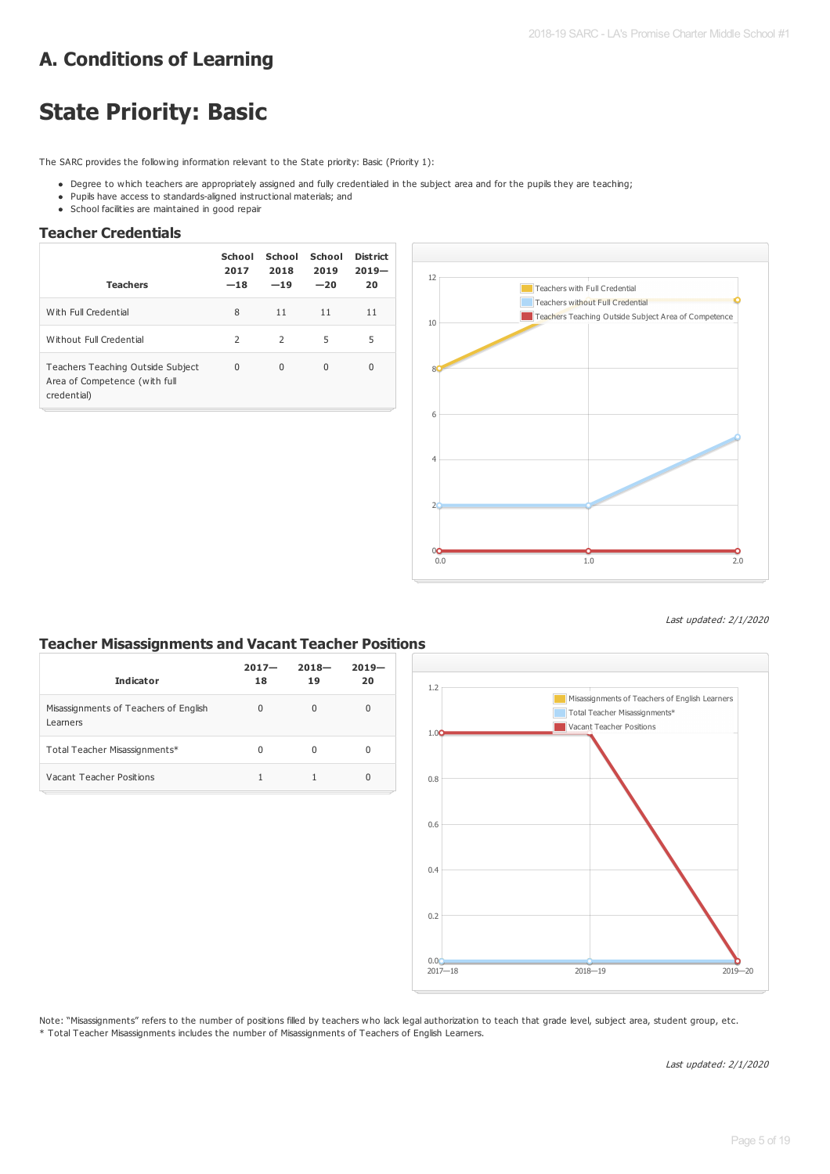# **A. Conditions of Learning**

# **State Priority: Basic**

The SARC provides the following information relevant to the State priority: Basic (Priority 1):

- Degree to which teachers are appropriately assigned and fully credentialed in the subject area and for the pupils they are teaching;
- Pupils have access to standards-aligned instructional materials; and
- School facilities are maintained in good repair

### **Teacher Credentials**

| <b>Teachers</b>                                                                   | School<br>2017<br>$-18$ | School<br>2018<br>$-19$ | School<br>2019<br>$-20$ | District<br>$2019 -$<br>20 |
|-----------------------------------------------------------------------------------|-------------------------|-------------------------|-------------------------|----------------------------|
| With Full Credential                                                              | 8                       | 11                      | 11                      | 11                         |
| Without Full Credential                                                           | 2                       | 2                       | 5                       | 5                          |
| Teachers Teaching Outside Subject<br>Area of Competence (with full<br>credential) | $\Omega$                | $\Omega$                | $\Omega$                | $\Omega$                   |



Last updated: 2/1/2020

#### **Teacher Misassignments and Vacant Teacher Positions**

| <b>Indicator</b>                                  | $2017 -$<br>18 | $2018 -$<br>19 | $2019 -$<br>20 |
|---------------------------------------------------|----------------|----------------|----------------|
| Misassignments of Teachers of English<br>Learners | 0              | 0              | $\Omega$       |
| Total Teacher Misassignments*                     | 0              | 0              | 0              |
| Vacant Teacher Positions                          |                |                | O              |



Note: "Misassignments" refers to the number of positions filled by teachers who lack legal authorization to teach that grade level, subject area, student group, etc. \* Total Teacher Misassignments includes the number of Misassignments of Teachers of English Learners.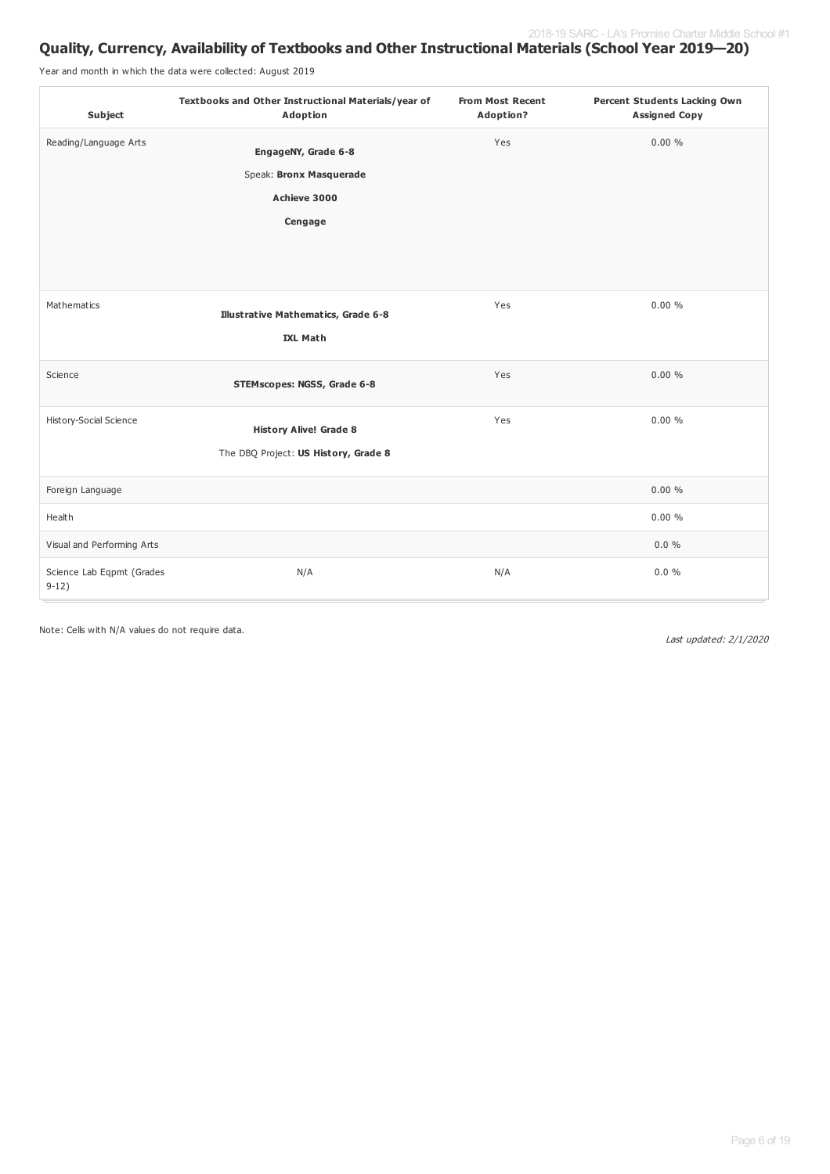## **Quality, Currency, Availability of Textbooks and Other Instructional Materials (School Year 2019—20)**

Year and month in which the data were collected: August 2019

| Subject                              | Textbooks and Other Instructional Materials/year of<br>Adoption           | <b>From Most Recent</b><br><b>Adoption?</b> | <b>Percent Students Lacking Own</b><br><b>Assigned Copy</b> |
|--------------------------------------|---------------------------------------------------------------------------|---------------------------------------------|-------------------------------------------------------------|
| Reading/Language Arts                | EngageNY, Grade 6-8<br>Speak: Bronx Masquerade<br>Achieve 3000<br>Cengage | Yes                                         | 0.00%                                                       |
| Mathematics                          | Illustrative Mathematics, Grade 6-8<br><b>IXL Math</b>                    | Yes                                         | 0.00%                                                       |
| Science                              | STEMscopes: NGSS, Grade 6-8                                               | Yes                                         | 0.00%                                                       |
| History-Social Science               | <b>History Alive! Grade 8</b><br>The DBQ Project: US History, Grade 8     | Yes                                         | 0.00%                                                       |
| Foreign Language                     |                                                                           |                                             | 0.00%                                                       |
| Health                               |                                                                           |                                             | 0.00%                                                       |
| Visual and Performing Arts           |                                                                           |                                             | $0.0 \%$                                                    |
| Science Lab Eqpmt (Grades<br>$9-12)$ | N/A                                                                       | N/A                                         | $0.0 \%$                                                    |

Note: Cells with N/A values do not require data.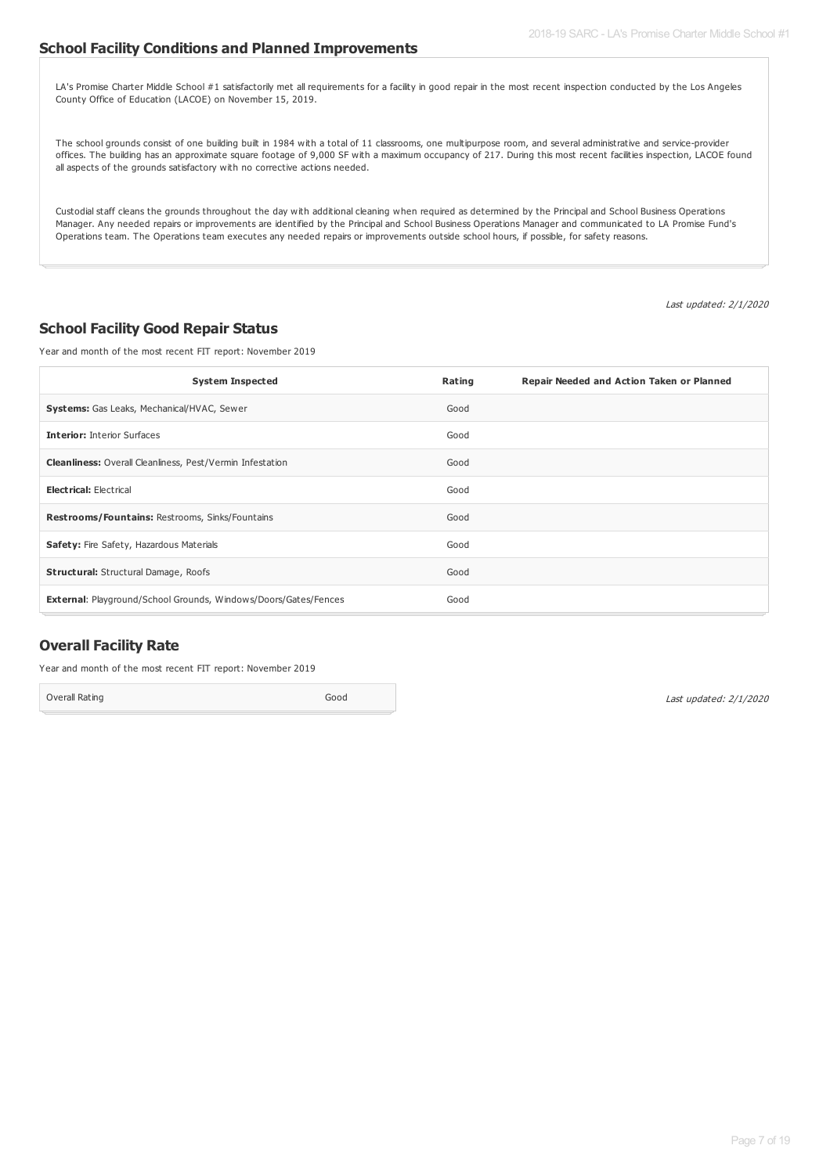#### **School Facility Conditions and Planned Improvements**

LA's Promise Charter Middle School #1 satisfactorily met all requirements for a facility in good repair in the most recent inspection conducted by the Los Angeles County Office of Education (LACOE) on November 15, 2019.

The school grounds consist of one building built in 1984 with a total of 11 classrooms, one multipurpose room, and several administrative and service-provider offices. The building has an approximate square footage of 9,000 SF with a maximum occupancy of 217. During this most recent facilities inspection, LACOE found all aspects of the grounds satisfactory with no corrective actions needed.

Custodial staff cleans the grounds throughout the day with additional cleaning when required as determined by the Principal and School Business Operations Manager. Any needed repairs or improvements are identified by the Principal and School Business Operations Manager and communicated to LA Promise Fund's Operations team. The Operations team executes any needed repairs or improvements outside school hours, if possible, for safety reasons.

Last updated: 2/1/2020

#### **School Facility Good Repair Status**

Year and month of the most recent FIT report: November 2019

| <b>System Inspected</b>                                                | Rating | Repair Needed and Action Taken or Planned |
|------------------------------------------------------------------------|--------|-------------------------------------------|
| <b>Systems:</b> Gas Leaks, Mechanical/HVAC, Sewer                      | Good   |                                           |
| <b>Interior: Interior Surfaces</b>                                     | Good   |                                           |
| <b>Cleanliness:</b> Overall Cleanliness, Pest/Vermin Infestation       | Good   |                                           |
| <b>Electrical: Electrical</b>                                          | Good   |                                           |
| <b>Restrooms/Fountains: Restrooms, Sinks/Fountains</b>                 | Good   |                                           |
| Safety: Fire Safety, Hazardous Materials                               | Good   |                                           |
| <b>Structural:</b> Structural Damage, Roofs                            | Good   |                                           |
| <b>External: Playground/School Grounds, Windows/Doors/Gates/Fences</b> | Good   |                                           |

#### **Overall Facility Rate**

Year and month of the most recent FIT report: November 2019

Overall Rating Good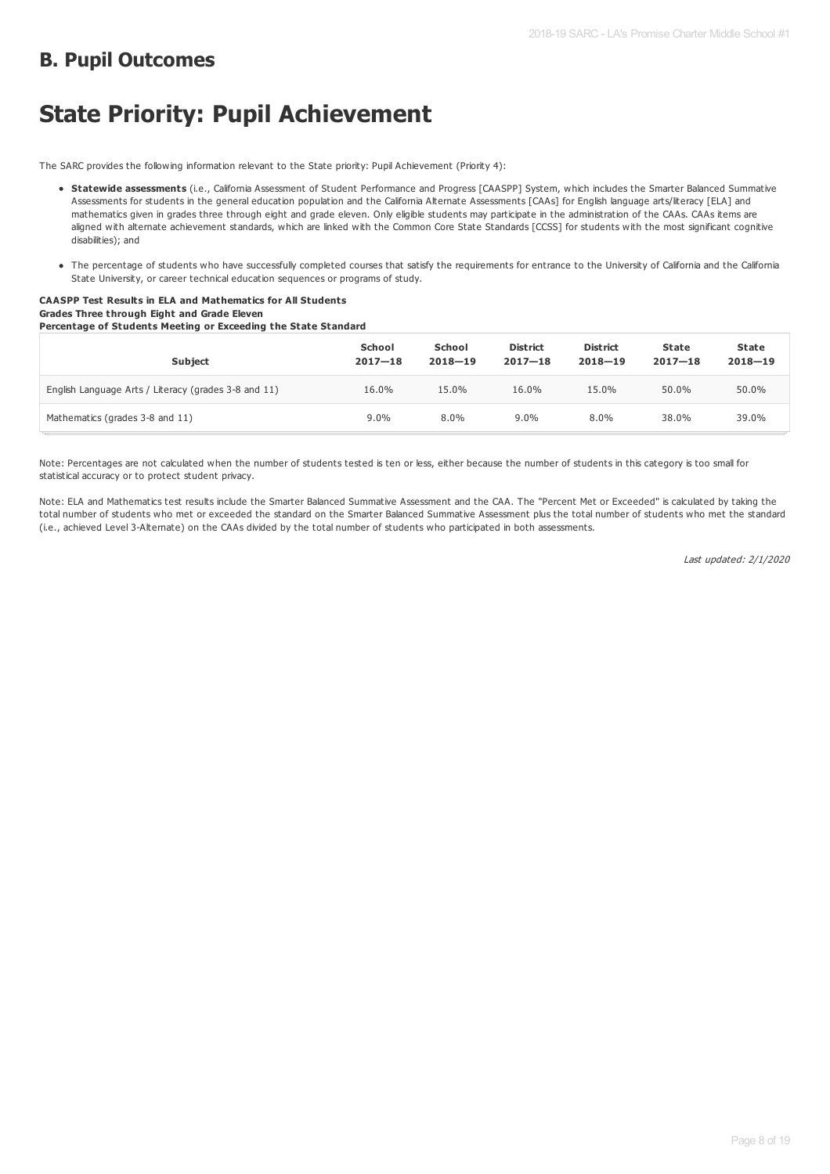# **B. Pupil Outcomes**

# **State Priority: Pupil Achievement**

The SARC provides the following information relevant to the State priority: Pupil Achievement (Priority 4):

- **Statewide assessments** (i.e., California Assessment of Student Performance and Progress [CAASPP] System, which includes the Smarter Balanced Summative Assessments for students in the general education population and the California Alternate Assessments [CAAs] for English language arts/literacy [ELA] and mathematics given in grades three through eight and grade eleven. Only eligible students may participate in the administration of the CAAs. CAAs items are aligned with alternate achievement standards, which are linked with the Common Core State Standards [CCSS] for students with the most significant cognitive disabilities); and
- The percentage of students who have successfully completed courses that satisfy the requirements for entrance to the University of California and the California State University, or career technical education sequences or programs of study.

#### **CAASPP Test Results in ELA and Mathematics for All Students Grades Three through Eight and Grade Eleven Percentage of Students Meeting or Exceeding the State Standard**

| <b>Subject</b>                                       | School<br>$2017 - 18$ | <b>School</b><br>$2018 - 19$ | <b>District</b><br>$2017 - 18$ | <b>District</b><br>$2018 - 19$ | State<br>$2017 - 18$ | State<br>$2018 - 19$ |
|------------------------------------------------------|-----------------------|------------------------------|--------------------------------|--------------------------------|----------------------|----------------------|
| English Language Arts / Literacy (grades 3-8 and 11) | 16.0%                 | 15.0%                        | 16.0%                          | 15.0%                          | 50.0%                | 50.0%                |
| Mathematics (grades 3-8 and 11)                      | $9.0\%$               | 8.0%                         | 9.0%                           | 8.0%                           | 38.0%                | 39.0%                |

Note: Percentages are not calculated when the number of students tested is ten or less, either because the number of students in this category is too small for statistical accuracy or to protect student privacy.

Note: ELA and Mathematics test results include the Smarter Balanced Summative Assessment and the CAA. The "Percent Met or Exceeded" is calculated by taking the total number of students who met or exceeded the standard on the Smarter Balanced Summative Assessment plus the total number of students who met the standard (i.e., achieved Level 3-Alternate) on the CAAs divided by the total number of students who participated in both assessments.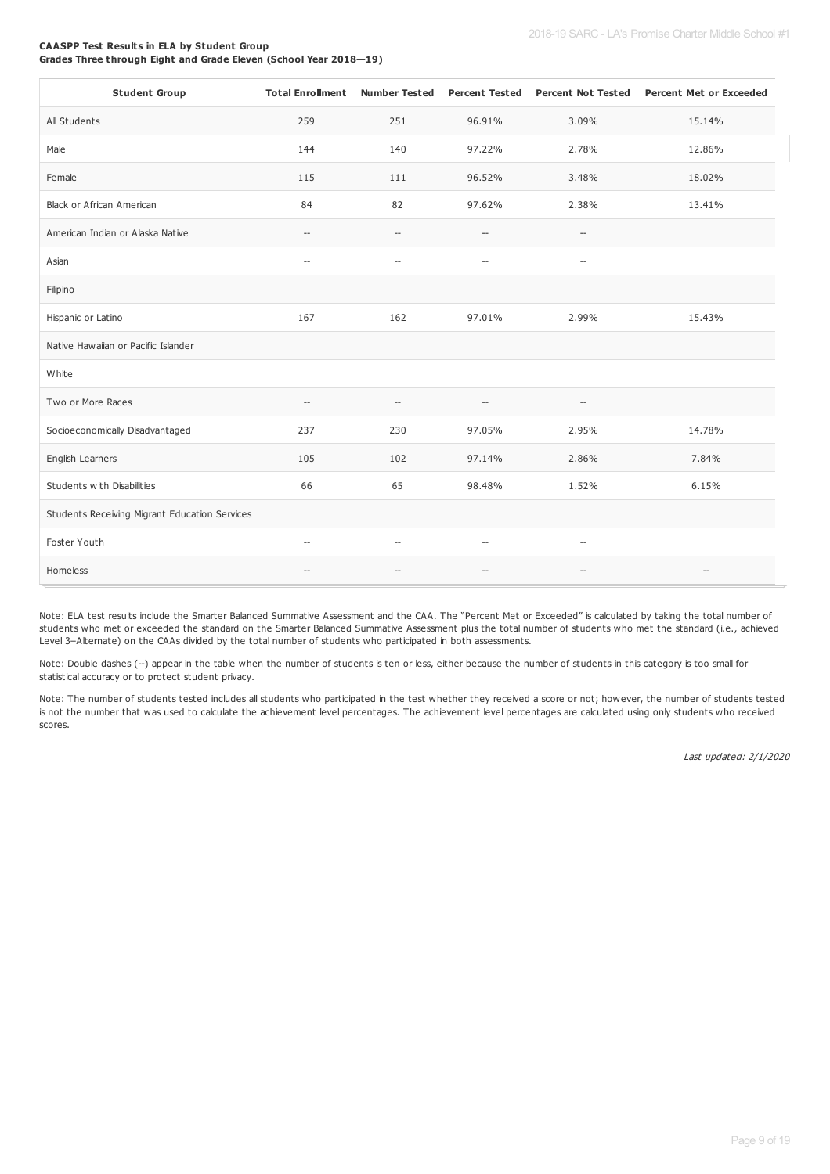#### **CAASPP Test Results in ELA by Student Group Grades Three through Eight and Grade Eleven (School Year 2018—19)**

| <b>Student Group</b>                          | <b>Total Enrollment</b>  | <b>Number Tested</b>                                | <b>Percent Tested</b>    | <b>Percent Not Tested</b>                           | <b>Percent Met or Exceeded</b> |
|-----------------------------------------------|--------------------------|-----------------------------------------------------|--------------------------|-----------------------------------------------------|--------------------------------|
| All Students                                  | 259                      | 251                                                 | 96.91%                   | 3.09%                                               | 15.14%                         |
| Male                                          | 144                      | 140                                                 | 97.22%                   | 2.78%                                               | 12.86%                         |
| Female                                        | 115                      | 111                                                 | 96.52%                   | 3.48%                                               | 18.02%                         |
| Black or African American                     | 84                       | 82                                                  | 97.62%                   | 2.38%                                               | 13.41%                         |
| American Indian or Alaska Native              | --                       | $\hspace{0.05cm} -\hspace{0.05cm} -\hspace{0.05cm}$ | $\hspace{0.05cm} \ldots$ | $\hspace{0.05cm} -\hspace{0.05cm} -\hspace{0.05cm}$ |                                |
| Asian                                         | $\hspace{0.05cm} \ldots$ | $\hspace{0.05cm} -\hspace{0.05cm} -\hspace{0.05cm}$ | $\overline{\phantom{a}}$ | $\hspace{0.05cm} -\hspace{0.05cm} -\hspace{0.05cm}$ |                                |
| Filipino                                      |                          |                                                     |                          |                                                     |                                |
| Hispanic or Latino                            | 167                      | 162                                                 | 97.01%                   | 2.99%                                               | 15.43%                         |
| Native Hawaiian or Pacific Islander           |                          |                                                     |                          |                                                     |                                |
| White                                         |                          |                                                     |                          |                                                     |                                |
| Two or More Races                             | $\hspace{0.05cm} \ldots$ | $\hspace{0.05cm} -\hspace{0.05cm}$                  | $\hspace{0.05cm} -$      | $\hspace{0.05cm} -\hspace{0.05cm} -\hspace{0.05cm}$ |                                |
| Socioeconomically Disadvantaged               | 237                      | 230                                                 | 97.05%                   | 2.95%                                               | 14.78%                         |
| English Learners                              | 105                      | 102                                                 | 97.14%                   | 2.86%                                               | 7.84%                          |
| Students with Disabilities                    | 66                       | 65                                                  | 98.48%                   | 1.52%                                               | 6.15%                          |
| Students Receiving Migrant Education Services |                          |                                                     |                          |                                                     |                                |
| Foster Youth                                  | $\hspace{0.05cm} \ldots$ | $\hspace{0.05cm} -\hspace{0.05cm} -\hspace{0.05cm}$ | $\overline{\phantom{a}}$ | $-\!$                                               |                                |
| Homeless                                      | --                       | $\overline{\phantom{a}}$                            | $\overline{a}$           | $\hspace{0.05cm} -\hspace{0.05cm} -\hspace{0.05cm}$ | $\overline{\phantom{a}}$       |

Note: ELA test results include the Smarter Balanced Summative Assessment and the CAA. The "Percent Met or Exceeded" is calculated by taking the total number of students who met or exceeded the standard on the Smarter Balanced Summative Assessment plus the total number of students who met the standard (i.e., achieved Level 3-Alternate) on the CAAs divided by the total number of students who participated in both assessments.

Note: Double dashes (--) appear in the table when the number of students is ten or less, either because the number of students in this category is too small for statistical accuracy or to protect student privacy.

Note: The number of students tested includes all students who participated in the test whether they received a score or not; however, the number of students tested is not the number that was used to calculate the achievement level percentages. The achievement level percentages are calculated using only students who received scores.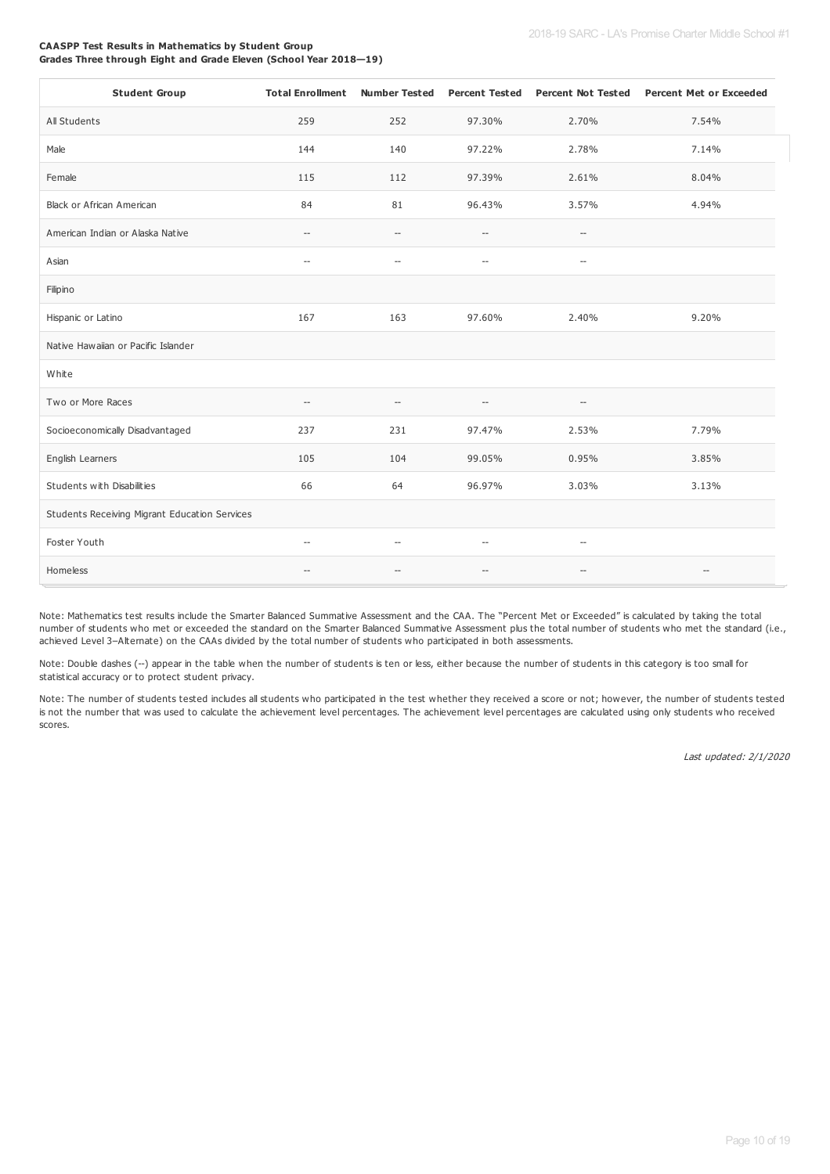#### **CAASPP Test Results in Mathematics by Student Group Grades Three through Eight and Grade Eleven (School Year 2018—19)**

| <b>Student Group</b>                          | <b>Total Enrollment</b>            |                                                     | Number Tested  Percent Tested |                                                     | Percent Not Tested  Percent Met or Exceeded         |
|-----------------------------------------------|------------------------------------|-----------------------------------------------------|-------------------------------|-----------------------------------------------------|-----------------------------------------------------|
| All Students                                  | 259                                | 252                                                 | 97.30%                        | 2.70%                                               | 7.54%                                               |
| Male                                          | 144                                | 140                                                 | 97.22%                        | 2.78%                                               | 7.14%                                               |
| Female                                        | 115                                | 112                                                 | 97.39%                        | 2.61%                                               | 8.04%                                               |
| Black or African American                     | 84                                 | 81                                                  | 96.43%                        | 3.57%                                               | 4.94%                                               |
| American Indian or Alaska Native              | $\hspace{0.05cm} -$                | $\hspace{0.05cm} -\hspace{0.05cm} -\hspace{0.05cm}$ | $\overline{\phantom{a}}$      | $\hspace{0.05cm} -\hspace{0.05cm} -\hspace{0.05cm}$ |                                                     |
| Asian                                         | $\overline{\phantom{a}}$           | $\hspace{0.05cm} -\hspace{0.05cm} -\hspace{0.05cm}$ | $\hspace{0.05cm} -$           | $\hspace{0.05cm} -\hspace{0.05cm} -\hspace{0.05cm}$ |                                                     |
| Filipino                                      |                                    |                                                     |                               |                                                     |                                                     |
| Hispanic or Latino                            | 167                                | 163                                                 | 97.60%                        | 2.40%                                               | 9.20%                                               |
| Native Hawaiian or Pacific Islander           |                                    |                                                     |                               |                                                     |                                                     |
| White                                         |                                    |                                                     |                               |                                                     |                                                     |
| Two or More Races                             | $\overline{\phantom{a}}$           | $\hspace{0.05cm} -\hspace{0.05cm} -\hspace{0.05cm}$ | $\overline{\phantom{a}}$      | $\hspace{0.05cm} -\hspace{0.05cm} -\hspace{0.05cm}$ |                                                     |
| Socioeconomically Disadvantaged               | 237                                | 231                                                 | 97.47%                        | 2.53%                                               | 7.79%                                               |
| English Learners                              | 105                                | 104                                                 | 99.05%                        | 0.95%                                               | 3.85%                                               |
| Students with Disabilities                    | 66                                 | 64                                                  | 96.97%                        | 3.03%                                               | 3.13%                                               |
| Students Receiving Migrant Education Services |                                    |                                                     |                               |                                                     |                                                     |
| Foster Youth                                  | $\hspace{0.05cm} -\hspace{0.05cm}$ | $\overline{\phantom{a}}$                            | $\overline{\phantom{a}}$      | $-\!$                                               |                                                     |
| Homeless                                      | --                                 | $\overline{\phantom{a}}$                            | $\overline{a}$                | --                                                  | $\hspace{0.05cm} -\hspace{0.05cm} -\hspace{0.05cm}$ |

Note: Mathematics test results include the Smarter Balanced Summative Assessment and the CAA. The "Percent Met or Exceeded" is calculated by taking the total number of students who met or exceeded the standard on the Smarter Balanced Summative Assessment plus the total number of students who met the standard (i.e., achieved Level 3–Alternate) on the CAAs divided by the total number of students who participated in both assessments.

Note: Double dashes (--) appear in the table when the number of students is ten or less, either because the number of students in this category is too small for statistical accuracy or to protect student privacy.

Note: The number of students tested includes all students who participated in the test whether they received a score or not; however, the number of students tested is not the number that was used to calculate the achievement level percentages. The achievement level percentages are calculated using only students who received scores.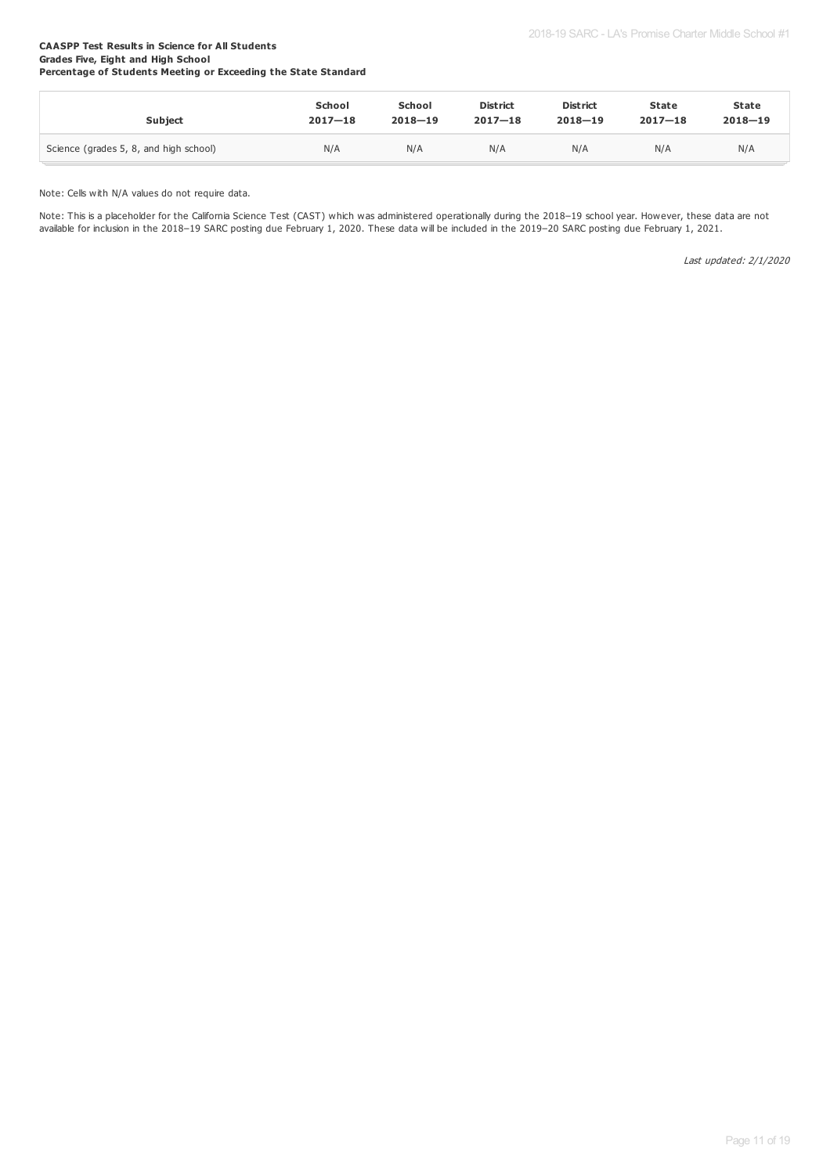#### **CAASPP Test Results in Science for All Students Grades Five, Eight and High School Percentage of Students Meeting or Exceeding the State Standard**

| <b>Subject</b>                         | <b>School</b> | <b>School</b> | <b>District</b> | <b>District</b> | <b>State</b> | <b>State</b> |
|----------------------------------------|---------------|---------------|-----------------|-----------------|--------------|--------------|
|                                        | $2017 - 18$   | $2018 - 19$   | $2017 - 18$     | $2018 - 19$     | $2017 - 18$  | $2018 - 19$  |
| Science (grades 5, 8, and high school) | N/A           | N/A           | N/A             | N/A             | N/A          | N/A          |

#### Note: Cells with N/A values do not require data.

Note: This is a placeholder for the California Science Test (CAST) which was administered operationally during the 2018–19 school year. However, these data are not available for inclusion in the 2018–19 SARC posting due February 1, 2020. These data will be included in the 2019–20 SARC posting due February 1, 2021.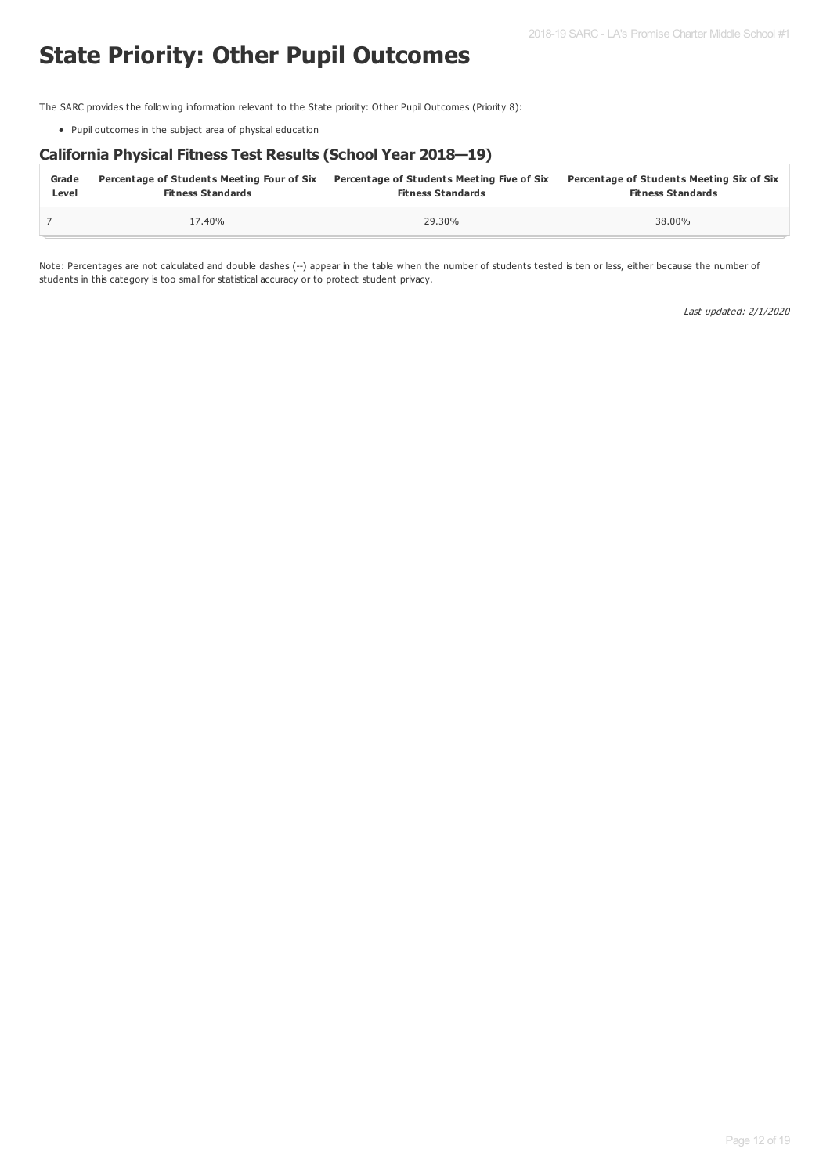# **State Priority: Other Pupil Outcomes**

The SARC provides the following information relevant to the State priority: Other Pupil Outcomes (Priority 8):

Pupil outcomes in the subject area of physical education

# **California Physical Fitness Test Results (School Year 2018—19)**

| Grade | Percentage of Students Meeting Four of Six | Percentage of Students Meeting Five of Six | Percentage of Students Meeting Six of Six |
|-------|--------------------------------------------|--------------------------------------------|-------------------------------------------|
| Level | <b>Fitness Standards</b>                   | <b>Fitness Standards</b>                   | <b>Fitness Standards</b>                  |
|       | 17.40%                                     | 29.30%                                     | 38.00%                                    |

Note: Percentages are not calculated and double dashes (--) appear in the table when the number of students tested is ten or less, either because the number of students in this category is too small for statistical accuracy or to protect student privacy.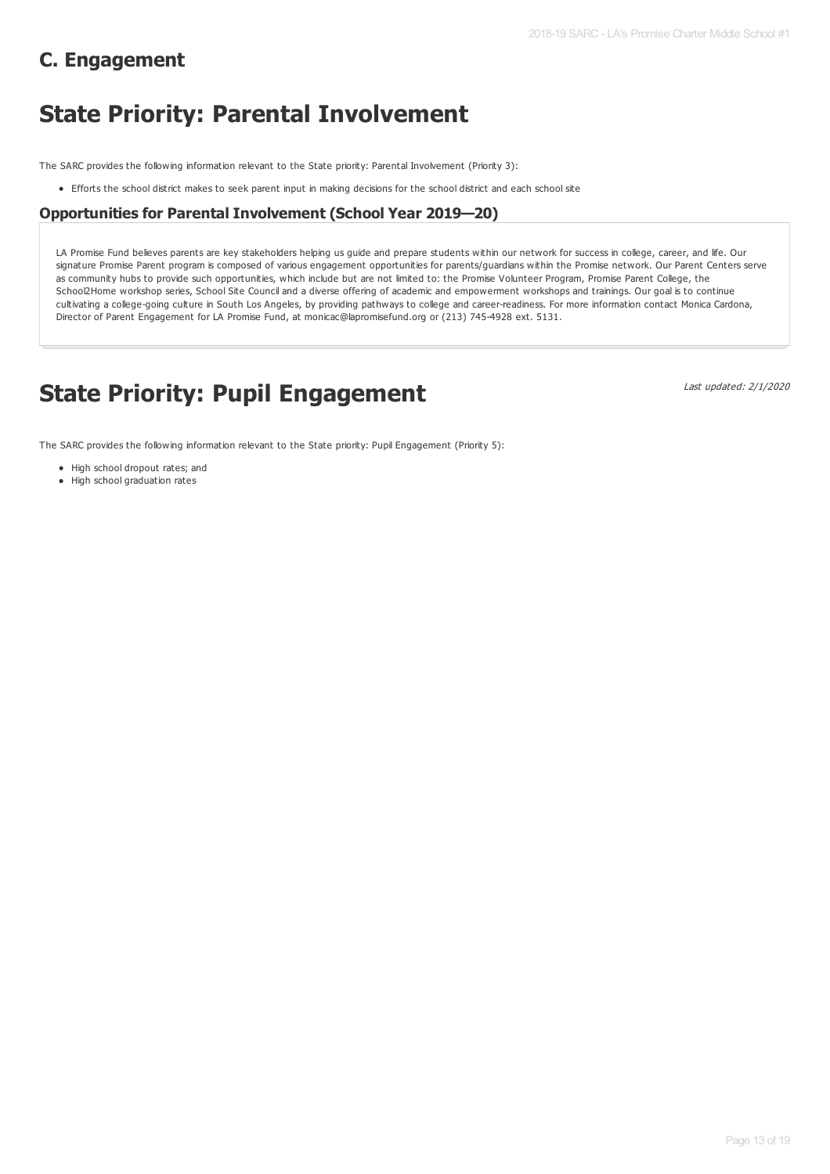# **C. Engagement**

# **State Priority: Parental Involvement**

The SARC provides the following information relevant to the State priority: Parental Involvement (Priority 3):

Efforts the school district makes to seek parent input in making decisions for the school district and each school site

#### **Opportunities for Parental Involvement (School Year 2019—20)**

LA Promise Fund believes parents are key stakeholders helping us guide and prepare students within our network for success in college, career, and life. Our signature Promise Parent program is composed of various engagement opportunities for parents/guardians within the Promise network. Our Parent Centers serve as community hubs to provide such opportunities, which include but are not limited to: the Promise Volunteer Program, Promise Parent College, the School2Home workshop series, School Site Council and a diverse offering of academic and empowerment workshops and trainings. Our goal is to continue cultivating a college-going culture in South Los Angeles, by providing pathways to college and career-readiness. For more information contact Monica Cardona, Director of Parent Engagement for LA Promise Fund, at monicac@lapromisefund.org or (213) 745-4928 ext. 5131.

# **State Priority: Pupil Engagement**

Last updated: 2/1/2020

The SARC provides the following information relevant to the State priority: Pupil Engagement (Priority 5):

- High school dropout rates; and
- $\bullet$  High school graduation rates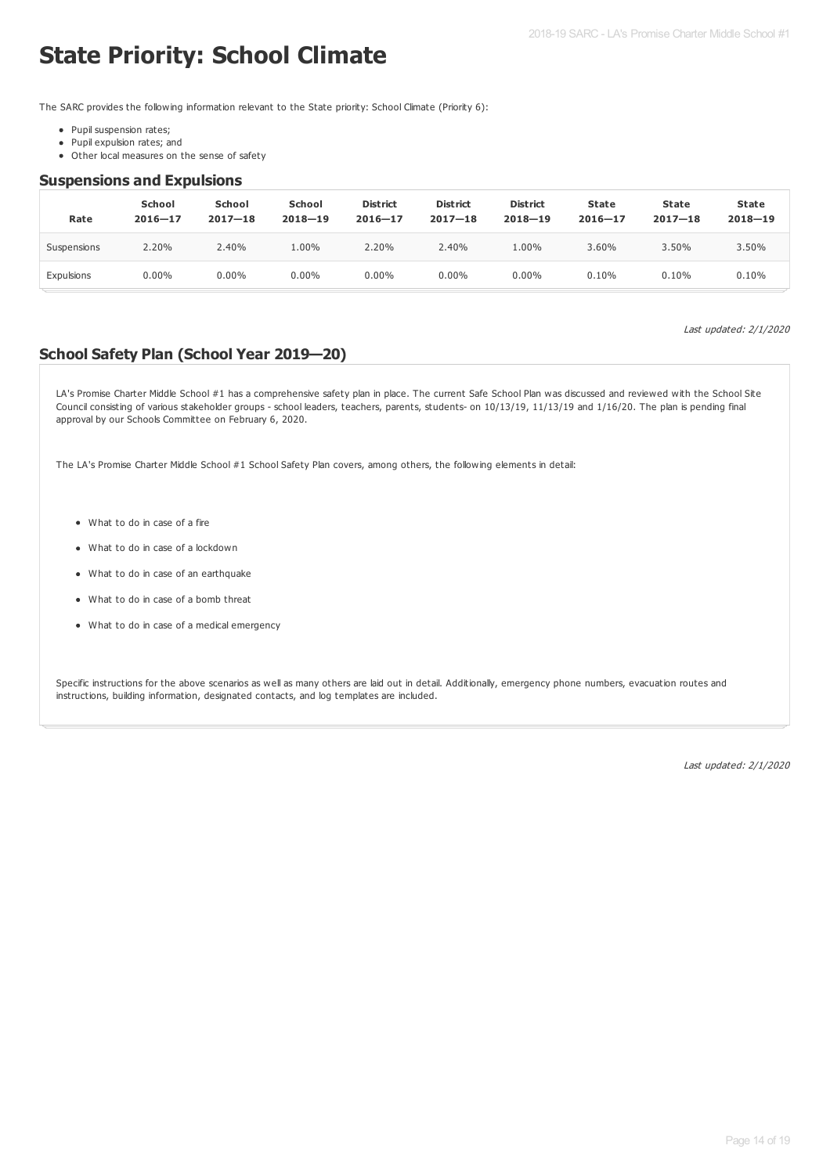# **State Priority: School Climate**

The SARC provides the following information relevant to the State priority: School Climate (Priority 6):

- Pupil suspension rates;
- Pupil expulsion rates; and
- Other local measures on the sense of safety

#### **Suspensions and Expulsions**

| Rate        | <b>School</b><br>$2016 - 17$ | <b>School</b><br>$2017 - 18$ | School<br>$2018 - 19$ | <b>District</b><br>$2016 - 17$ | <b>District</b><br>$2017 - 18$ | <b>District</b><br>$2018 - 19$ | <b>State</b><br>$2016 - 17$ | State<br>$2017 - 18$ | <b>State</b><br>$2018 - 19$ |
|-------------|------------------------------|------------------------------|-----------------------|--------------------------------|--------------------------------|--------------------------------|-----------------------------|----------------------|-----------------------------|
| Suspensions | 2.20%                        | 2.40%                        | 1.00%                 | 2.20%                          | 2.40%                          | 1.00%                          | 3.60%                       | 3.50%                | 3.50%                       |
| Expulsions  | $0.00\%$                     | $0.00\%$                     | $0.00\%$              | $0.00\%$                       | $0.00\%$                       | $0.00\%$                       | 0.10%                       | 0.10%                | 0.10%                       |

Last updated: 2/1/2020

#### **School Safety Plan (School Year 2019—20)**

LA's Promise Charter Middle School #1 has a comprehensive safety plan in place. The current Safe School Plan was discussed and reviewed with the School Site Council consisting of various stakeholder groups - school leaders, teachers, parents, students- on 10/13/19, 11/13/19 and 1/16/20. The plan is pending final approval by our Schools Committee on February 6, 2020.

The LA's Promise Charter Middle School #1 School Safety Plan covers, among others, the following elements in detail:

- What to do in case of a fire
- What to do in case of a lockdown
- What to do in case of an earthquake
- What to do in case of a bomb threat
- What to do in case of a medical emergency

Specific instructions for the above scenarios as well as many others are laid out in detail. Additionally, emergency phone numbers, evacuation routes and instructions, building information, designated contacts, and log templates are included.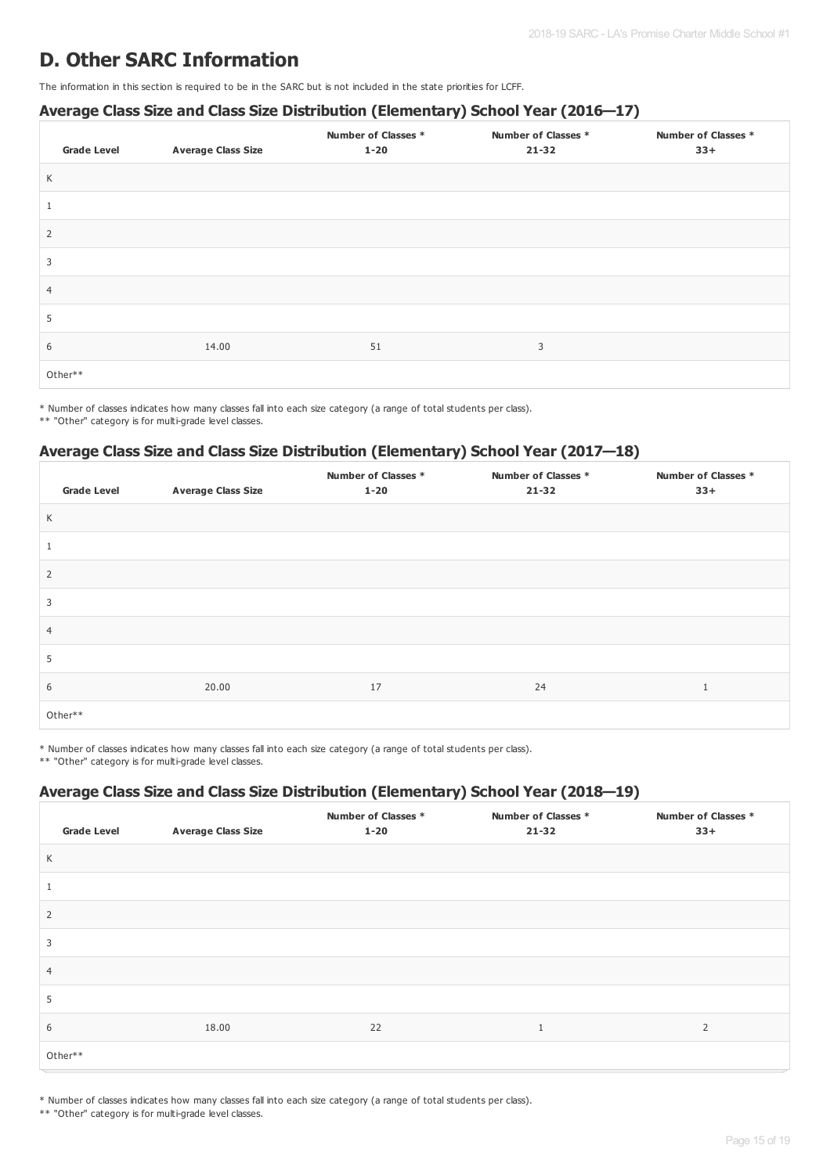# **D. Other SARC Information**

The information in this section is required to be in the SARC but is not included in the state priorities for LCFF.

## **Average Class Size and Class Size Distribution (Elementary) School Year (2016—17)**

| <b>Grade Level</b> | <b>Average Class Size</b> | Number of Classes *<br>$1 - 20$ | Number of Classes *<br>$21 - 32$ | Number of Classes *<br>$33+$ |
|--------------------|---------------------------|---------------------------------|----------------------------------|------------------------------|
| K                  |                           |                                 |                                  |                              |
| 1                  |                           |                                 |                                  |                              |
| $\overline{2}$     |                           |                                 |                                  |                              |
| 3                  |                           |                                 |                                  |                              |
| $\overline{4}$     |                           |                                 |                                  |                              |
| 5                  |                           |                                 |                                  |                              |
| 6                  | 14.00                     | 51                              | 3                                |                              |
| Other**            |                           |                                 |                                  |                              |

\* Number of classes indicates how many classes fall into each size category (a range of total students per class).

\*\* "Other" category is for multi-grade level classes.

### **Average Class Size and Class Size Distribution (Elementary) School Year (2017—18)**

| <b>Grade Level</b> | <b>Average Class Size</b> | Number of Classes *<br>$1 - 20$ | Number of Classes *<br>$21 - 32$ | Number of Classes *<br>$33+$ |
|--------------------|---------------------------|---------------------------------|----------------------------------|------------------------------|
| К                  |                           |                                 |                                  |                              |
| 1                  |                           |                                 |                                  |                              |
| $\overline{2}$     |                           |                                 |                                  |                              |
| 3                  |                           |                                 |                                  |                              |
| $\overline{4}$     |                           |                                 |                                  |                              |
| 5                  |                           |                                 |                                  |                              |
| 6                  | 20.00                     | 17                              | 24                               | 1                            |
| Other**            |                           |                                 |                                  |                              |

\* Number of classes indicates how many classes fall into each size category (a range of total students per class).

\*\* "Other" category is for multi-grade level classes.

## **Average Class Size and Class Size Distribution (Elementary) School Year (2018—19)**

| <b>Grade Level</b> | <b>Average Class Size</b> | Number of Classes *<br>$1 - 20$ | Number of Classes *<br>$21 - 32$ | Number of Classes *<br>$33+$ |
|--------------------|---------------------------|---------------------------------|----------------------------------|------------------------------|
| K                  |                           |                                 |                                  |                              |
|                    |                           |                                 |                                  |                              |
| 2                  |                           |                                 |                                  |                              |
| 3                  |                           |                                 |                                  |                              |
| $\overline{4}$     |                           |                                 |                                  |                              |
| 5                  |                           |                                 |                                  |                              |
| 6                  | 18.00                     | 22                              | $\mathbf{1}$                     | $\overline{2}$               |
| Other**            |                           |                                 |                                  |                              |

\* Number of classes indicates how many classes fall into each size category (a range of total students per class).

\*\* "Other" category is for multi-grade level classes.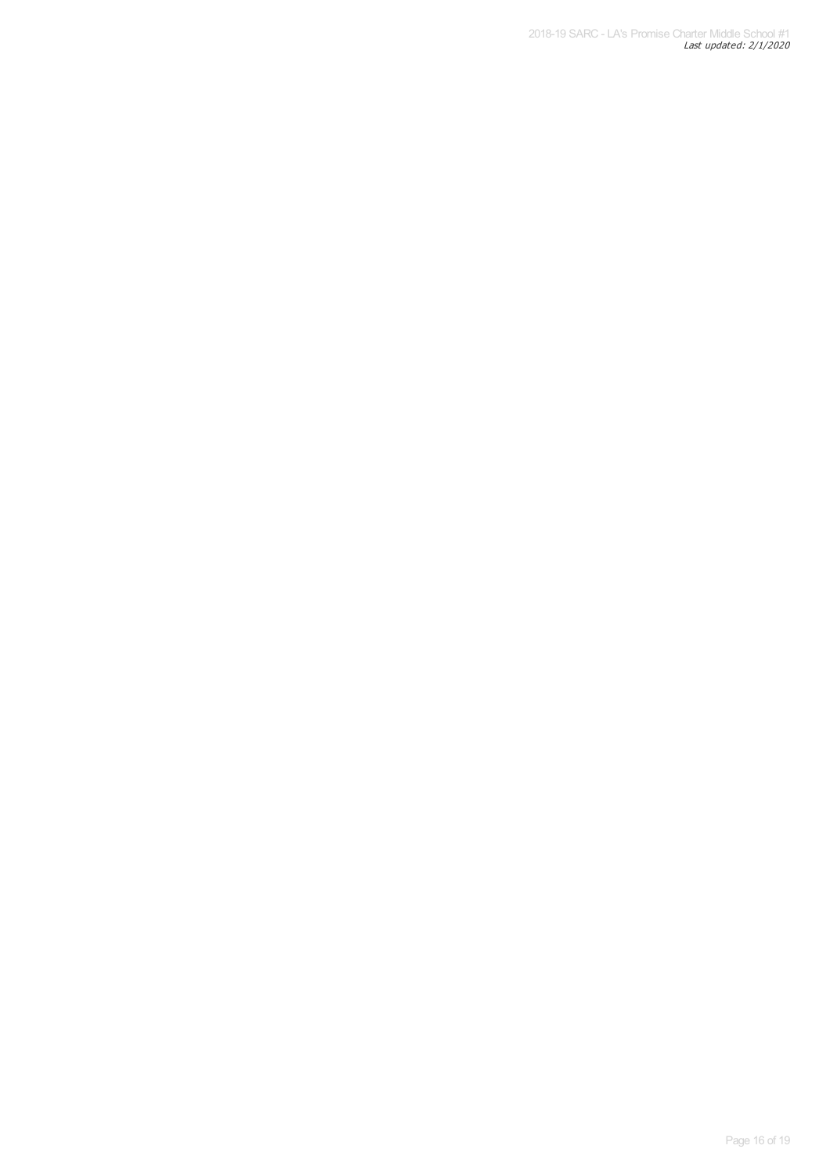2018-19 SARC - LA's Promise Charter Middle School #1<br>Last updated: 2/1/2020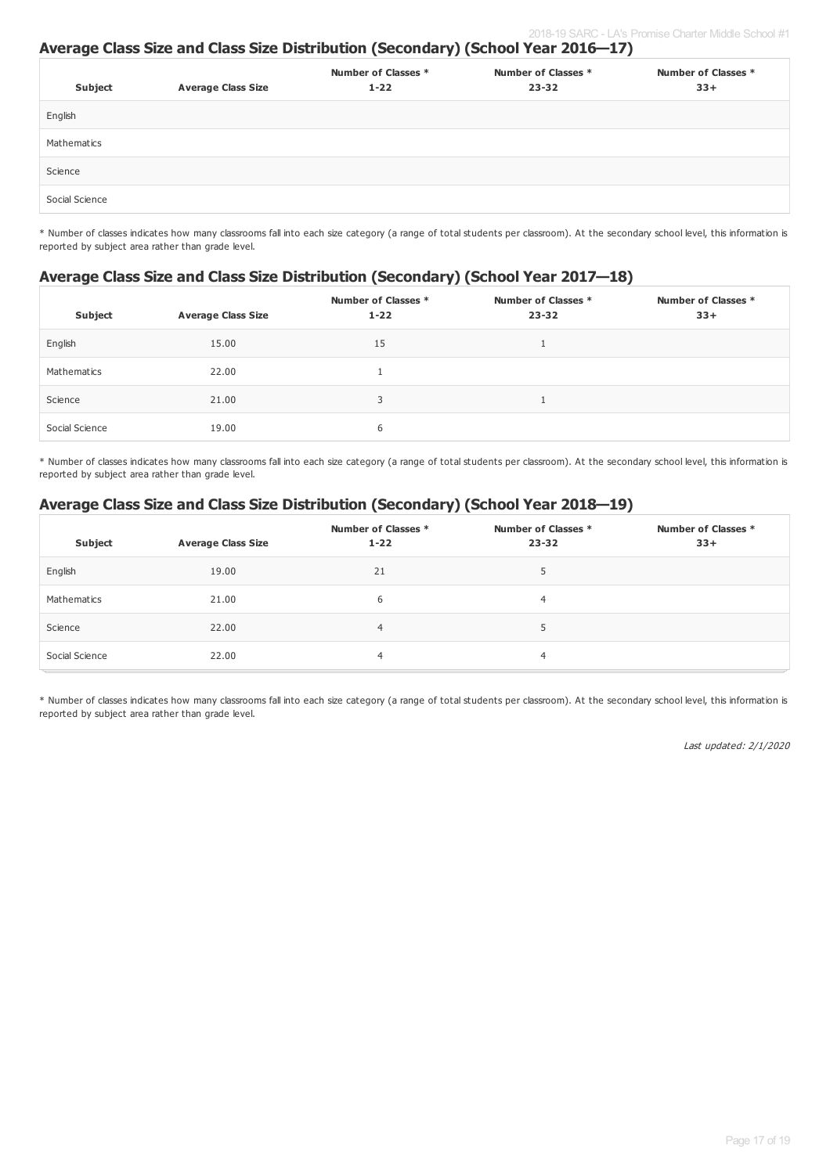#### **Average Class Size and Class Size Distribution (Secondary) (School Year 2016—17)**

| Subject        | <b>Average Class Size</b> | Number of Classes *<br>$1 - 22$ | Number of Classes *<br>23-32 | Number of Classes *<br>$33+$ |
|----------------|---------------------------|---------------------------------|------------------------------|------------------------------|
| English        |                           |                                 |                              |                              |
| Mathematics    |                           |                                 |                              |                              |
| Science        |                           |                                 |                              |                              |
| Social Science |                           |                                 |                              |                              |

\* Number of classes indicates how many classrooms fall into each size category (a range of total students per classroom). At the secondary school level, this information is reported by subject area rather than grade level.

#### **Average Class Size and Class Size Distribution (Secondary) (School Year 2017—18)**

| Subject        | <b>Average Class Size</b> | Number of Classes *<br>$1 - 22$ | Number of Classes *<br>$23 - 32$ | Number of Classes *<br>$33+$ |
|----------------|---------------------------|---------------------------------|----------------------------------|------------------------------|
| English        | 15.00                     | 15                              |                                  |                              |
| Mathematics    | 22.00                     |                                 |                                  |                              |
| Science        | 21.00                     | 3                               |                                  |                              |
| Social Science | 19.00                     | 6                               |                                  |                              |

\* Number of classes indicates how many classrooms fall into each size category (a range of total students per classroom). At the secondary school level, this information is reported by subject area rather than grade level.

## **Average Class Size and Class Size Distribution (Secondary) (School Year 2018—19)**

| Subject        | <b>Average Class Size</b> | Number of Classes *<br>$1 - 22$ | Number of Classes *<br>$23 - 32$ | Number of Classes *<br>$33+$ |
|----------------|---------------------------|---------------------------------|----------------------------------|------------------------------|
| English        | 19.00                     | 21                              |                                  |                              |
| Mathematics    | 21.00                     | 6                               | $\overline{4}$                   |                              |
| Science        | 22.00                     | 4                               | 5                                |                              |
| Social Science | 22.00                     | 4                               | 4                                |                              |

\* Number of classes indicates how many classrooms fall into each size category (a range of total students per classroom). At the secondary school level, this information is reported by subject area rather than grade level.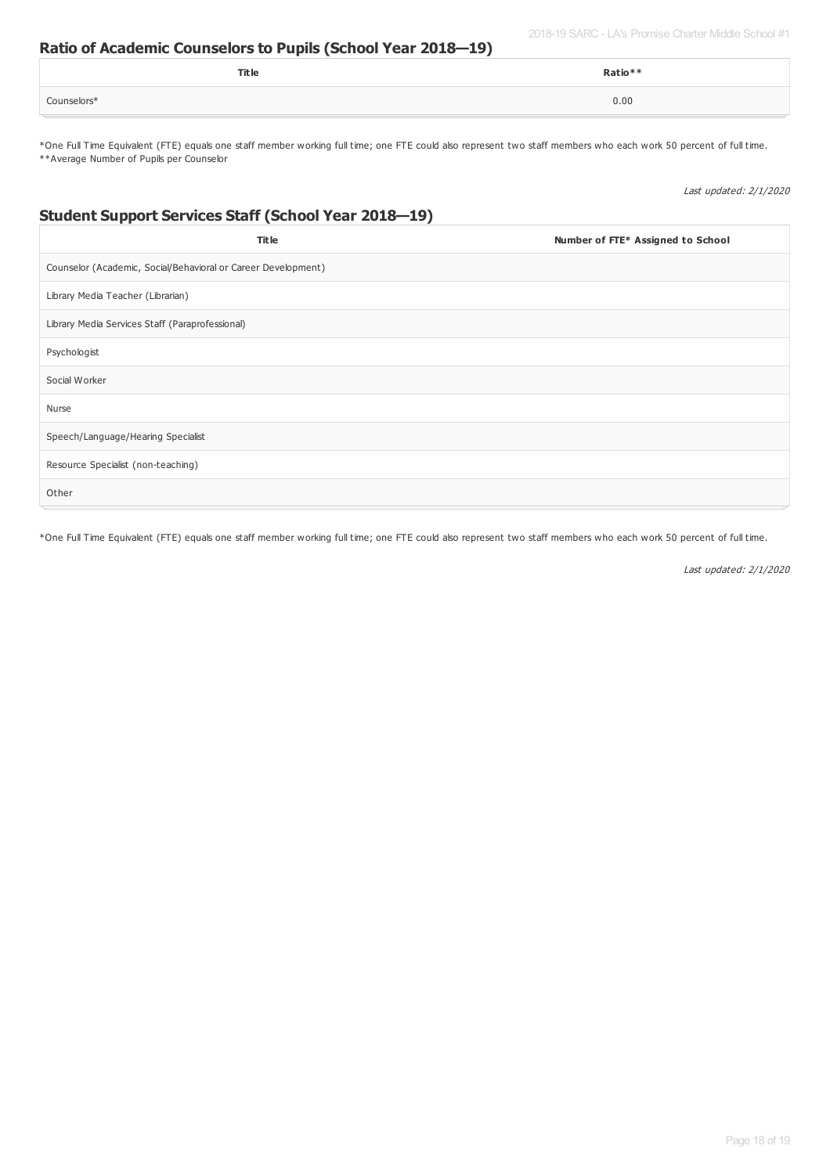2018-19 SARC - LA's Promise Charter Middle School #1

### **Ratio of Academic Counselors to Pupils (School Year 2018—19)**

|             | Title | Ratio** |
|-------------|-------|---------|
| Counselors* |       | 0.00    |

\*One Full Time Equivalent (FTE) equals one staff member working full time; one FTE could also represent two staff members who each work 50 percent of full time. \*\*Average Number of Pupils per Counselor

Last updated: 2/1/2020

## **Student Support Services Staff (School Year 2018—19)**

| <b>Title</b>                                                  | Number of FTE* Assigned to School |
|---------------------------------------------------------------|-----------------------------------|
| Counselor (Academic, Social/Behavioral or Career Development) |                                   |
| Library Media Teacher (Librarian)                             |                                   |
| Library Media Services Staff (Paraprofessional)               |                                   |
| Psychologist                                                  |                                   |
| Social Worker                                                 |                                   |
| Nurse                                                         |                                   |
| Speech/Language/Hearing Specialist                            |                                   |
| Resource Specialist (non-teaching)                            |                                   |
| Other                                                         |                                   |

\*One Full Time Equivalent (FTE) equals one staff member working full time; one FTE could also represent two staff members who each work 50 percent of full time.